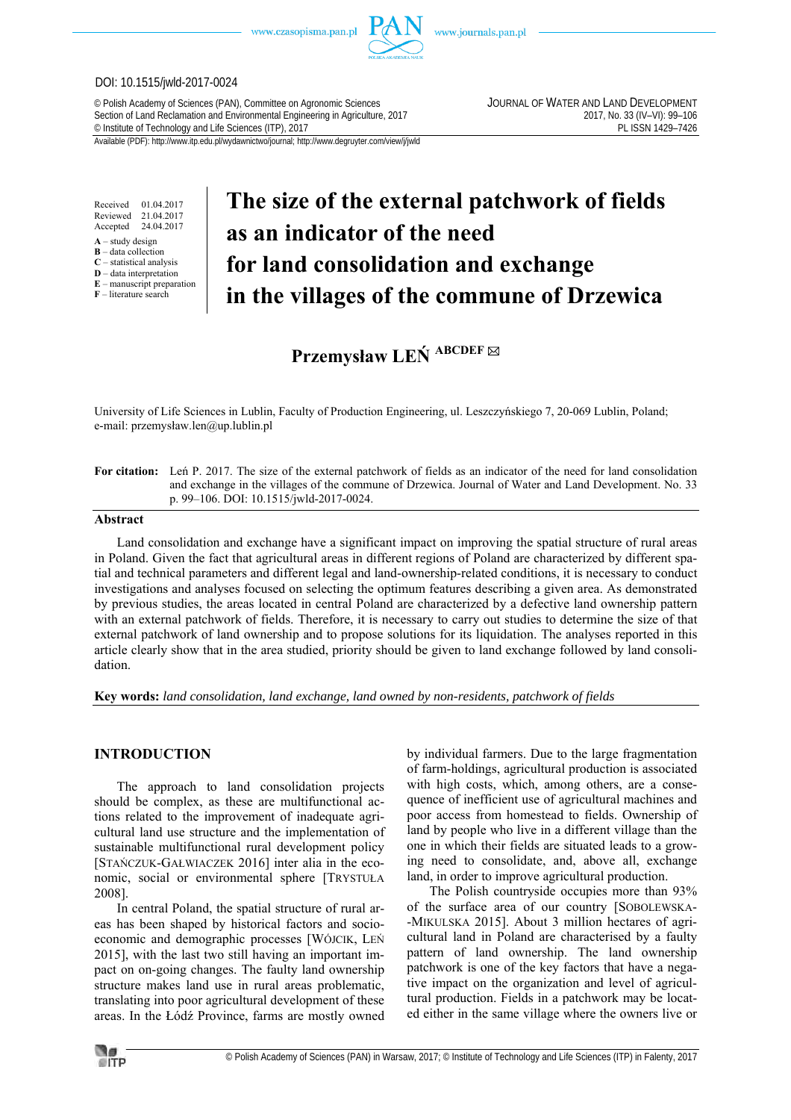

www.journals.pan.pl

## DOI: 10.1515/jwld-2017-0024

© Polish Academy of Sciences (PAN), Committee on Agronomic Sciences JOURNAL OF WATER AND LAND DEVELOPMENT Section of Land Reclamation and Environmental Engineering in Agriculture, 2017<br>
© Institute of Technology and Life Sciences (ITP), 2017<br>
PL ISSN 1429-7426 <sup>©</sup> Institute of Technology and Life Sciences (ITP), 2017

Received 01.04.2017 Reviewed 21.04.2017<br>Accented 24.04.2017 Accepted

- **A** study design
- **B** data collection **C** – statistical analysis
- **D** data interpretation
- **E** manuscript preparation

### **F** – literature search

# **The size of the external patchwork of fields as an indicator of the need for land consolidation and exchange in the villages of the commune of Drzewica**

**Przemysław LEŃ ABCDEF** 

University of Life Sciences in Lublin, Faculty of Production Engineering, ul. Leszczyńskiego 7, 20-069 Lublin, Poland; e-mail: przemysław.len@up.lublin.pl

**For citation:** Leń P. 2017. The size of the external patchwork of fields as an indicator of the need for land consolidation and exchange in the villages of the commune of Drzewica. Journal of Water and Land Development. No. 33 p. 99–106. DOI: 10.1515/jwld-2017-0024.

## **Abstract**

Land consolidation and exchange have a significant impact on improving the spatial structure of rural areas in Poland. Given the fact that agricultural areas in different regions of Poland are characterized by different spatial and technical parameters and different legal and land-ownership-related conditions, it is necessary to conduct investigations and analyses focused on selecting the optimum features describing a given area. As demonstrated by previous studies, the areas located in central Poland are characterized by a defective land ownership pattern with an external patchwork of fields. Therefore, it is necessary to carry out studies to determine the size of that external patchwork of land ownership and to propose solutions for its liquidation. The analyses reported in this article clearly show that in the area studied, priority should be given to land exchange followed by land consolidation.

**Key words:** *land consolidation, land exchange, land owned by non-residents, patchwork of fields* 

# **INTRODUCTION**

The approach to land consolidation projects should be complex, as these are multifunctional actions related to the improvement of inadequate agricultural land use structure and the implementation of sustainable multifunctional rural development policy [STAŃCZUK-GAŁWIACZEK 2016] inter alia in the economic, social or environmental sphere [TRYSTUŁA 2008].

In central Poland, the spatial structure of rural areas has been shaped by historical factors and socioeconomic and demographic processes [WÓJCIK, LEŃ 2015], with the last two still having an important impact on on-going changes. The faulty land ownership structure makes land use in rural areas problematic, translating into poor agricultural development of these areas. In the Łódź Province, farms are mostly owned by individual farmers. Due to the large fragmentation of farm-holdings, agricultural production is associated with high costs, which, among others, are a consequence of inefficient use of agricultural machines and poor access from homestead to fields. Ownership of land by people who live in a different village than the one in which their fields are situated leads to a growing need to consolidate, and, above all, exchange land, in order to improve agricultural production.

The Polish countryside occupies more than 93% of the surface area of our country [SOBOLEWSKA- -MIKULSKA 2015]. About 3 million hectares of agricultural land in Poland are characterised by a faulty pattern of land ownership. The land ownership patchwork is one of the key factors that have a negative impact on the organization and level of agricultural production. Fields in a patchwork may be located either in the same village where the owners live or

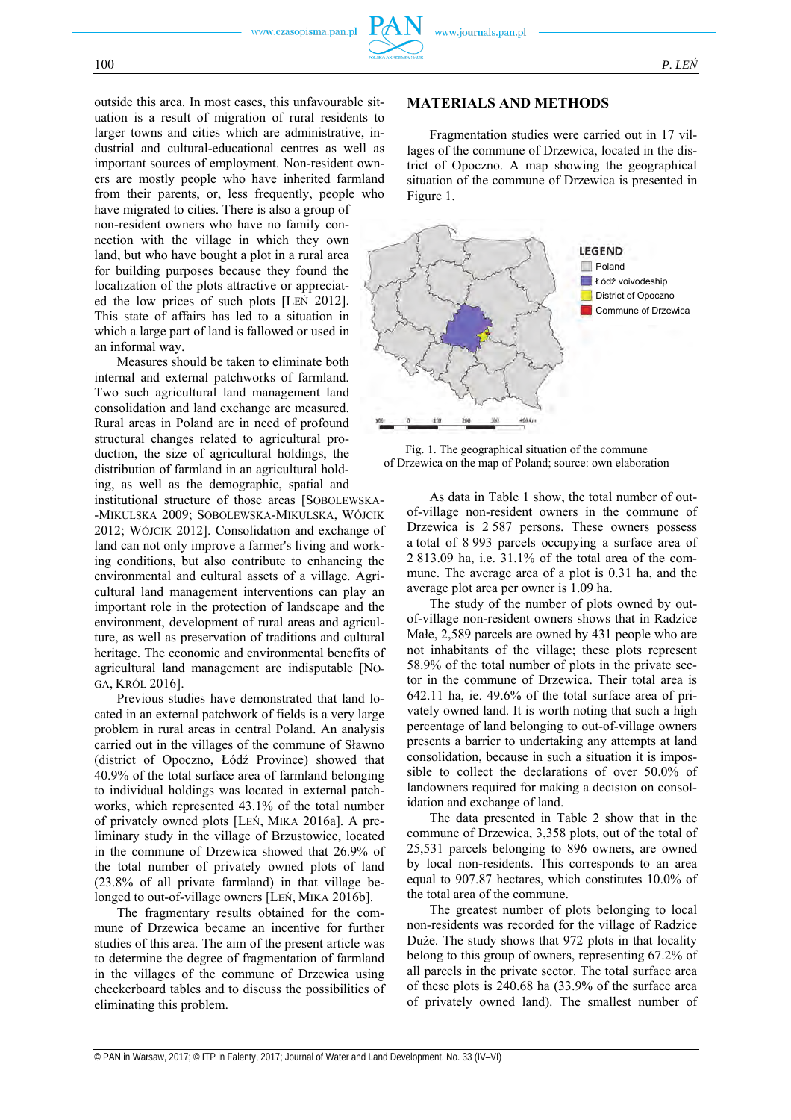outside this area. In most cases, this unfavourable situation is a result of migration of rural residents to larger towns and cities which are administrative, industrial and cultural-educational centres as well as important sources of employment. Non-resident owners are mostly people who have inherited farmland from their parents, or, less frequently, people who

have migrated to cities. There is also a group of non-resident owners who have no family connection with the village in which they own land, but who have bought a plot in a rural area for building purposes because they found the localization of the plots attractive or appreciated the low prices of such plots [LEŃ 2012]. This state of affairs has led to a situation in which a large part of land is fallowed or used in an informal way.

Measures should be taken to eliminate both internal and external patchworks of farmland. Two such agricultural land management land consolidation and land exchange are measured. Rural areas in Poland are in need of profound structural changes related to agricultural production, the size of agricultural holdings, the distribution of farmland in an agricultural holding, as well as the demographic, spatial and

institutional structure of those areas [SOBOLEWSKA- -MIKULSKA 2009; SOBOLEWSKA-MIKULSKA, WÓJCIK 2012; WÓJCIK 2012]. Consolidation and exchange of land can not only improve a farmer's living and working conditions, but also contribute to enhancing the environmental and cultural assets of a village. Agricultural land management interventions can play an important role in the protection of landscape and the environment, development of rural areas and agriculture, as well as preservation of traditions and cultural heritage. The economic and environmental benefits of agricultural land management are indisputable [NO-GA, KRÓL 2016].

Previous studies have demonstrated that land located in an external patchwork of fields is a very large problem in rural areas in central Poland. An analysis carried out in the villages of the commune of Sławno (district of Opoczno, Łódź Province) showed that 40.9% of the total surface area of farmland belonging to individual holdings was located in external patchworks, which represented 43.1% of the total number of privately owned plots [LEŃ, MIKA 2016a]. A preliminary study in the village of Brzustowiec, located in the commune of Drzewica showed that 26.9% of the total number of privately owned plots of land (23.8% of all private farmland) in that village belonged to out-of-village owners [LEŃ, MIKA 2016b].

The fragmentary results obtained for the commune of Drzewica became an incentive for further studies of this area. The aim of the present article was to determine the degree of fragmentation of farmland in the villages of the commune of Drzewica using checkerboard tables and to discuss the possibilities of eliminating this problem.

# **MATERIALS AND METHODS**

Fragmentation studies were carried out in 17 villages of the commune of Drzewica, located in the district of Opoczno. A map showing the geographical situation of the commune of Drzewica is presented in Figure 1.





As data in Table 1 show, the total number of outof-village non-resident owners in the commune of Drzewica is 2 587 persons. These owners possess a total of 8 993 parcels occupying a surface area of 2 813.09 ha, i.e. 31.1% of the total area of the commune. The average area of a plot is 0.31 ha, and the average plot area per owner is 1.09 ha.

The study of the number of plots owned by outof-village non-resident owners shows that in Radzice Małe, 2,589 parcels are owned by 431 people who are not inhabitants of the village; these plots represent 58.9% of the total number of plots in the private sector in the commune of Drzewica. Their total area is 642.11 ha, ie. 49.6% of the total surface area of privately owned land. It is worth noting that such a high percentage of land belonging to out-of-village owners presents a barrier to undertaking any attempts at land consolidation, because in such a situation it is impossible to collect the declarations of over 50.0% of landowners required for making a decision on consolidation and exchange of land.

The data presented in Table 2 show that in the commune of Drzewica, 3,358 plots, out of the total of 25,531 parcels belonging to 896 owners, are owned by local non-residents. This corresponds to an area equal to 907.87 hectares, which constitutes 10.0% of the total area of the commune.

The greatest number of plots belonging to local non-residents was recorded for the village of Radzice Duże. The study shows that 972 plots in that locality belong to this group of owners, representing 67.2% of all parcels in the private sector. The total surface area of these plots is 240.68 ha (33.9% of the surface area of privately owned land). The smallest number of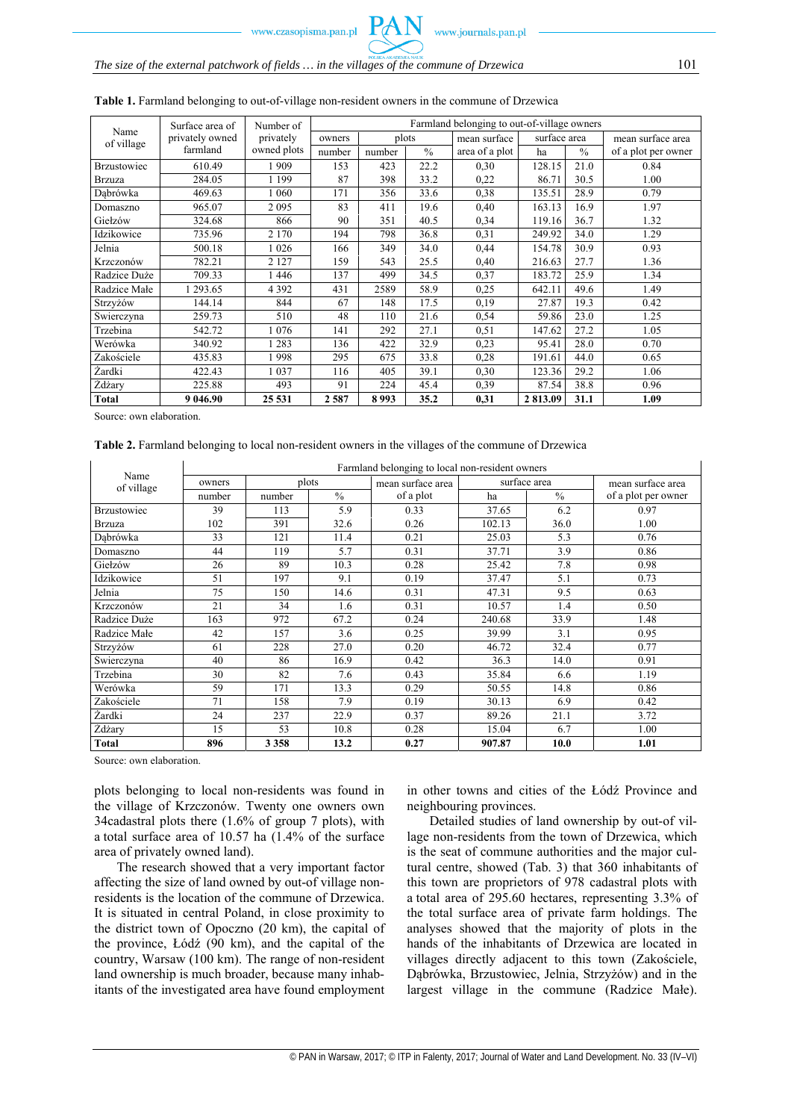# *The size of the external patchwork of fields … in the villages of the commune of Drzewica* 101

|                    | Surface area of | Number of   |        |        |               | Farmland belonging to out-of-village owners |                     |      |                     |
|--------------------|-----------------|-------------|--------|--------|---------------|---------------------------------------------|---------------------|------|---------------------|
| Name<br>of village | privately owned | privately   | owners |        | plots         | mean surface                                | surface area        |      | mean surface area   |
|                    | farmland        | owned plots | number | number | $\frac{0}{0}$ | area of a plot                              | $\frac{0}{0}$<br>ha |      | of a plot per owner |
| <b>Brzustowiec</b> | 610.49          | 1909        | 153    | 423    | 22.2          | 0,30                                        | 128.15              | 21.0 | 0.84                |
| <b>Brzuza</b>      | 284.05          | 1 1 9 9     | 87     | 398    | 33.2          | 0,22                                        | 86.71               | 30.5 | 1.00                |
| Dabrówka           | 469.63          | 1 060       | 171    | 356    | 33.6          | 0,38                                        | 135.51              | 28.9 | 0.79                |
| Domaszno           | 965.07          | 2095        | 83     | 411    | 19.6          | 0,40                                        | 163.13              | 16.9 | 1.97                |
| Giełzów            | 324.68          | 866         | 90     | 351    | 40.5          | 0,34                                        | 119.16              | 36.7 | 1.32                |
| Idzikowice         | 735.96          | 2 1 7 0     | 194    | 798    | 36.8          | 0,31                                        | 249.92              | 34.0 | 1.29                |
| Jelnia             | 500.18          | 1 0 2 6     | 166    | 349    | 34.0          | 0,44                                        | 154.78              | 30.9 | 0.93                |
| Krzczonów          | 782.21          | 2 1 2 7     | 159    | 543    | 25.5          | 0,40                                        | 216.63              | 27.7 | 1.36                |
| Radzice Duże       | 709.33          | 1446        | 137    | 499    | 34.5          | 0,37                                        | 183.72              | 25.9 | 1.34                |
| Radzice Małe       | 293.65          | 4 3 9 2     | 431    | 2589   | 58.9          | 0,25                                        | 642.11              | 49.6 | 1.49                |
| Strzyżów           | 144.14          | 844         | 67     | 148    | 17.5          | 0,19                                        | 27.87               | 19.3 | 0.42                |
| Świerczyna         | 259.73          | 510         | 48     | 110    | 21.6          | 0,54                                        | 59.86               | 23.0 | 1.25                |
| Trzebina           | 542.72          | 1076        | 141    | 292    | 27.1          | 0,51                                        | 147.62              | 27.2 | 1.05                |
| Werówka            | 340.92          | 1 2 8 3     | 136    | 422    | 32.9          | 0,23                                        | 95.41               | 28.0 | 0.70                |
| Zakościele         | 435.83          | 1998        | 295    | 675    | 33.8          | 0,28                                        | 191.61              | 44.0 | 0.65                |
| Żardki             | 422.43          | 1 0 3 7     | 116    | 405    | 39.1          | 0,30                                        | 123.36              | 29.2 | 1.06                |
| Żdżary             | 225.88          | 493         | 91     | 224    | 45.4          | 0,39                                        | 87.54               | 38.8 | 0.96                |
| <b>Total</b>       | 9 046.90        | 25 531      | 2587   | 8993   | 35.2          | 0,31                                        | 2 813.09            | 31.1 | 1.09                |

#### **Table 1.** Farmland belonging to out-of-village non-resident owners in the commune of Drzewica

Source: own elaboration.

**Table 2.** Farmland belonging to local non-resident owners in the villages of the commune of Drzewica

|                    | Farmland belonging to local non-resident owners |            |               |                   |              |               |                     |  |  |  |  |  |
|--------------------|-------------------------------------------------|------------|---------------|-------------------|--------------|---------------|---------------------|--|--|--|--|--|
| Name<br>of village | owners                                          | plots      |               | mean surface area |              | surface area  | mean surface area   |  |  |  |  |  |
|                    | number                                          | number     | $\frac{0}{0}$ | of a plot         | ha           | $\frac{0}{0}$ | of a plot per owner |  |  |  |  |  |
| <b>Brzustowiec</b> | 39                                              | 113        | 5.9           | 0.33              | 37.65        | 6.2           | 0.97                |  |  |  |  |  |
| <b>Brzuza</b>      | 102                                             | 391        | 32.6          | 0.26              | 102.13       | 36.0          | 1.00                |  |  |  |  |  |
| Dabrówka           | 33                                              | 121        | 11.4          | 0.21              | 25.03        | 5.3           | 0.76                |  |  |  |  |  |
| Domaszno           | 44                                              | 119        | 5.7           | 0.31              | 37.71        | 3.9           | 0.86                |  |  |  |  |  |
| Giełzów            | 26                                              | 89         | 10.3          | 0.28              | 25.42        | 7.8           | 0.98                |  |  |  |  |  |
| Idzikowice         | 51                                              | 197<br>9.1 |               | 0.19              | 37.47        | 5.1           | 0.73                |  |  |  |  |  |
| Jelnia             | 75                                              | 150        | 14.6          | 0.31              | 47.31        | 9.5           | 0.63                |  |  |  |  |  |
| Krzczonów          | 21                                              | 34         | 1.6           | 0.31              | 1.4<br>10.57 |               | 0.50                |  |  |  |  |  |
| Radzice Duże       | 163                                             | 972        | 67.2          | 0.24              | 240.68       | 33.9          | 1.48                |  |  |  |  |  |
| Radzice Małe       | 42                                              | 157        | 3.6           | 0.25              | 39.99<br>3.1 |               | 0.95                |  |  |  |  |  |
| Strzyżów           | 61                                              | 228        | 27.0          | 0.20              | 46.72        | 32.4          | 0.77                |  |  |  |  |  |
| Świerczyna         | 40                                              | 86         | 16.9          | 0.42              | 36.3         | 14.0          | 0.91                |  |  |  |  |  |
| Trzebina           | 30                                              | 82         | 7.6           | 0.43              | 35.84        | 6.6           | 1.19                |  |  |  |  |  |
| Werówka            | 59                                              | 171        | 13.3          | 0.29              | 50.55        | 14.8          | 0.86                |  |  |  |  |  |
| Zakościele         | 71                                              | 158        | 7.9           | 0.19              | 30.13        | 6.9           | 0.42                |  |  |  |  |  |
| Żardki             | 24                                              | 237        | 22.9          | 0.37              | 89.26        | 21.1          | 3.72                |  |  |  |  |  |
| Żdżary             | 15                                              | 53         | 10.8          | 0.28              | 15.04        | 6.7           | 1.00                |  |  |  |  |  |
| <b>Total</b>       | 896                                             | 3 3 5 8    | 13.2          | 0.27              | 907.87       | 10.0          | 1.01                |  |  |  |  |  |

Source: own elaboration.

plots belonging to local non-residents was found in the village of Krzczonów. Twenty one owners own 34cadastral plots there (1.6% of group 7 plots), with a total surface area of 10.57 ha (1.4% of the surface area of privately owned land).

The research showed that a very important factor affecting the size of land owned by out-of village nonresidents is the location of the commune of Drzewica. It is situated in central Poland, in close proximity to the district town of Opoczno (20 km), the capital of the province, Łódź (90 km), and the capital of the country, Warsaw (100 km). The range of non-resident land ownership is much broader, because many inhabitants of the investigated area have found employment

in other towns and cities of the Łódź Province and neighbouring provinces.

Detailed studies of land ownership by out-of village non-residents from the town of Drzewica, which is the seat of commune authorities and the major cultural centre, showed (Tab. 3) that 360 inhabitants of this town are proprietors of 978 cadastral plots with a total area of 295.60 hectares, representing 3.3% of the total surface area of private farm holdings. The analyses showed that the majority of plots in the hands of the inhabitants of Drzewica are located in villages directly adjacent to this town (Zakościele, Dąbrówka, Brzustowiec, Jelnia, Strzyżów) and in the largest village in the commune (Radzice Małe).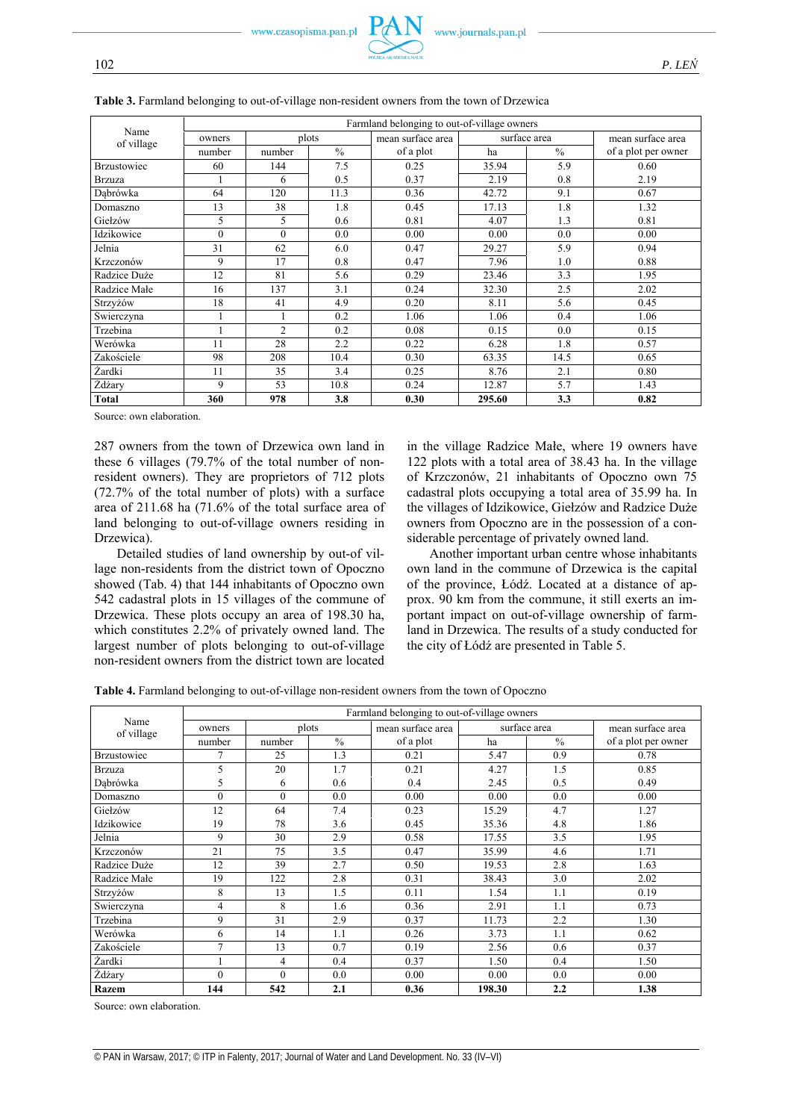|                    | Farmland belonging to out-of-village owners |                 |                   |           |              |                   |                     |  |  |  |  |  |
|--------------------|---------------------------------------------|-----------------|-------------------|-----------|--------------|-------------------|---------------------|--|--|--|--|--|
| Name<br>of village | plots<br>owners                             |                 | mean surface area |           | surface area | mean surface area |                     |  |  |  |  |  |
|                    | number                                      | number          | $\frac{0}{0}$     | of a plot | ha           | $\frac{0}{0}$     | of a plot per owner |  |  |  |  |  |
| <b>Brzustowiec</b> | 60                                          | 144             | 7.5               | 0.25      | 35.94        | 5.9               | 0.60                |  |  |  |  |  |
| <b>Brzuza</b>      |                                             | 6               | 0.5               | 0.37      | 2.19         | 0.8               | 2.19                |  |  |  |  |  |
| Dabrówka           | 64                                          | 120             | 11.3              | 0.36      | 42.72        | 9.1               | 0.67                |  |  |  |  |  |
| Domaszno           | 13                                          | 38              | 1.8               | 0.45      | 17.13        | 1.8               | 1.32                |  |  |  |  |  |
| Giełzów            | 5                                           | 5               | 0.6               | 0.81      | 4.07         | 1.3               | 0.81                |  |  |  |  |  |
| Idzikowice         | $\theta$                                    | $\theta$<br>0.0 |                   | 0.00      | 0.00         | 0.0               | 0.00                |  |  |  |  |  |
| Jelnia             | 31                                          | 62<br>6.0       |                   | 0.47      | 29.27        | 5.9               | 0.94                |  |  |  |  |  |
| Krzczonów          | 9                                           | 17              | 0.8               | 0.47      | 7.96         | 1.0               | 0.88                |  |  |  |  |  |
| Radzice Duże       | 12                                          | 81              | 5.6               | 0.29      | 23.46        | 3.3               | 1.95                |  |  |  |  |  |
| Radzice Małe       | 16                                          | 137             | 3.1               | 0.24      | 32.30        | 2.5               | 2.02                |  |  |  |  |  |
| Strzyżów           | 18                                          | 41              | 4.9               | 0.20      | 8.11         | 5.6               | 0.45                |  |  |  |  |  |
| Świerczyna         |                                             |                 | 0.2               | 1.06      | 1.06         | 0.4               | 1.06                |  |  |  |  |  |
| Trzebina           |                                             | $\overline{2}$  | 0.2               | 0.08      | 0.15         | 0.0               | 0.15                |  |  |  |  |  |
| Werówka            | 11                                          | 28              | 2.2               | 0.22      | 6.28         | 1.8               | 0.57                |  |  |  |  |  |
| Zakościele         | 98                                          | 208             | 10.4              | 0.30      | 63.35        | 14.5              | 0.65                |  |  |  |  |  |
| Żardki             | 11                                          | 35              | 3.4               | 0.25      | 8.76         | 2.1               | 0.80                |  |  |  |  |  |
| Żdżary             | 9                                           | 53              | 10.8              | 0.24      | 12.87        | 5.7               | 1.43                |  |  |  |  |  |
| <b>Total</b>       | 360                                         | 978             | 3.8               | 0.30      | 295.60       | 3.3               | 0.82                |  |  |  |  |  |

**Table 3.** Farmland belonging to out-of-village non-resident owners from the town of Drzewica

Source: own elaboration.

287 owners from the town of Drzewica own land in these 6 villages (79.7% of the total number of nonresident owners). They are proprietors of 712 plots (72.7% of the total number of plots) with a surface area of 211.68 ha (71.6% of the total surface area of land belonging to out-of-village owners residing in Drzewica).

Detailed studies of land ownership by out-of village non-residents from the district town of Opoczno showed (Tab. 4) that 144 inhabitants of Opoczno own 542 cadastral plots in 15 villages of the commune of Drzewica. These plots occupy an area of 198.30 ha, which constitutes 2.2% of privately owned land. The largest number of plots belonging to out-of-village non-resident owners from the district town are located in the village Radzice Małe, where 19 owners have 122 plots with a total area of 38.43 ha. In the village of Krzczonów, 21 inhabitants of Opoczno own 75 cadastral plots occupying a total area of 35.99 ha. In the villages of Idzikowice, Giełzów and Radzice Duże owners from Opoczno are in the possession of a considerable percentage of privately owned land.

Another important urban centre whose inhabitants own land in the commune of Drzewica is the capital of the province, Łódź. Located at a distance of approx. 90 km from the commune, it still exerts an important impact on out-of-village ownership of farmland in Drzewica. The results of a study conducted for the city of Łódź are presented in Table 5.

|  |  |  | Table 4. Farmland belonging to out-of-village non-resident owners from the town of Opoczno |  |  |
|--|--|--|--------------------------------------------------------------------------------------------|--|--|
|--|--|--|--------------------------------------------------------------------------------------------|--|--|

|                    | Farmland belonging to out-of-village owners |          |               |                   |              |               |                     |  |  |  |  |  |  |
|--------------------|---------------------------------------------|----------|---------------|-------------------|--------------|---------------|---------------------|--|--|--|--|--|--|
| Name<br>of village | plots<br>owners                             |          |               | mean surface area |              | surface area  | mean surface area   |  |  |  |  |  |  |
|                    | number                                      | number   | $\frac{0}{0}$ | of a plot         | ha           | $\frac{0}{0}$ | of a plot per owner |  |  |  |  |  |  |
| <b>Brzustowiec</b> |                                             | 25       | 1.3           | 0.21              | 5.47         | 0.9           | 0.78                |  |  |  |  |  |  |
| <b>Brzuza</b>      | 5                                           | 20       | 1.7           | 0.21              | 4.27         | 1.5           | 0.85                |  |  |  |  |  |  |
| Dabrówka           | 5                                           | 6        | 0.6           | 0.4               | 2.45         | 0.5           | 0.49                |  |  |  |  |  |  |
| Domaszno           | $\theta$                                    | $\theta$ | 0.0           | 0.00              | 0.00         | 0.0           | 0.00                |  |  |  |  |  |  |
| Giełzów            | 12                                          | 64       | 7.4           | 0.23              | 15.29        | 4.7           | 1.27                |  |  |  |  |  |  |
| Idzikowice         | 19                                          | 78       | 3.6           | 0.45              | 35.36        | 4.8           | 1.86                |  |  |  |  |  |  |
| Jelnia             | 9                                           | 30       | 2.9           | 0.58              | 3.5<br>17.55 |               | 1.95                |  |  |  |  |  |  |
| Krzczonów          | 21                                          | 75       | 3.5           | 0.47              | 35.99        | 4.6           | 1.71                |  |  |  |  |  |  |
| Radzice Duże       | 12                                          | 39       | 2.7           | 0.50              | 19.53        | 2.8           | 1.63                |  |  |  |  |  |  |
| Radzice Małe       | 19                                          | 122      | 2.8           | 0.31              | 38.43        | 3.0           | 2.02                |  |  |  |  |  |  |
| Strzyżów           | 8                                           | 13       | 1.5           | 0.11              | 1.54         | 1.1           | 0.19                |  |  |  |  |  |  |
| Świerczyna         | 4                                           | 8        | 1.6           | 0.36              | 2.91         | 1.1           | 0.73                |  |  |  |  |  |  |
| Trzebina           | 9                                           | 31       | 2.9           | 0.37              | 11.73        | 2.2           | 1.30                |  |  |  |  |  |  |
| Werówka            | 6                                           | 14       | 1.1           | 0.26              | 3.73         | 1.1           | 0.62                |  |  |  |  |  |  |
| Zakościele         | $\tau$                                      | 13       | 0.7           | 0.19              | 2.56         | 0.6           | 0.37                |  |  |  |  |  |  |
| Żardki             |                                             | 4        | 0.4           | 0.37              | 1.50         | 0.4           | 1.50                |  |  |  |  |  |  |
| Żdżary             | $\theta$                                    | $\theta$ | 0.0           | 0.00              | 0.00         | 0.0           | 0.00                |  |  |  |  |  |  |
| Razem              | 144                                         | 542      | 2.1           | 0.36              | 198.30       | 2.2           | 1.38                |  |  |  |  |  |  |

Source: own elaboration.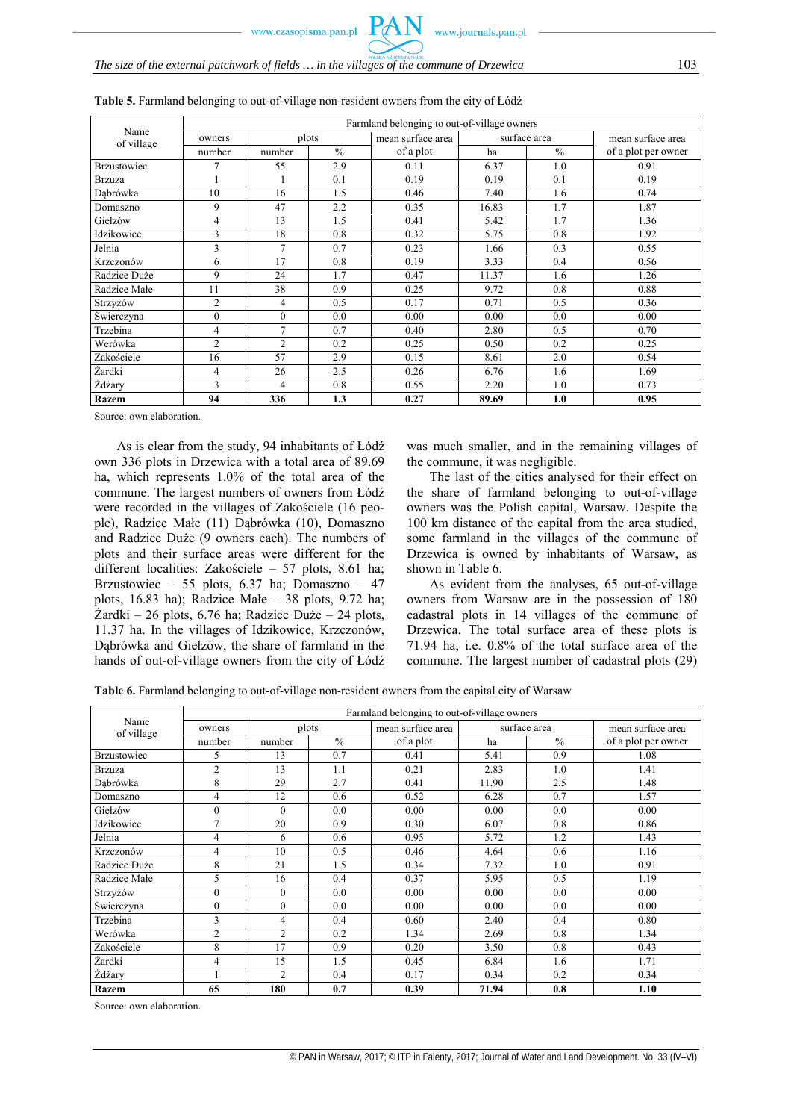|                    | Farmland belonging to out-of-village owners |                |               |                   |       |               |                     |  |  |  |  |  |  |
|--------------------|---------------------------------------------|----------------|---------------|-------------------|-------|---------------|---------------------|--|--|--|--|--|--|
| Name<br>of village | owners                                      | plots          |               | mean surface area |       | surface area  | mean surface area   |  |  |  |  |  |  |
|                    | number                                      | number         | $\frac{0}{0}$ | of a plot         | ha    | $\frac{0}{0}$ | of a plot per owner |  |  |  |  |  |  |
| <b>Brzustowiec</b> |                                             | 55             | 2.9           | 0.11              | 6.37  | 1.0           | 0.91                |  |  |  |  |  |  |
| <b>Brzuza</b>      |                                             |                | 0.1           | 0.19              | 0.19  | 0.1           | 0.19                |  |  |  |  |  |  |
| Dabrówka           | 10                                          | 16             | 1.5           | 0.46              | 7.40  | 1.6           | 0.74                |  |  |  |  |  |  |
| Domaszno           | 9                                           | 47             | 2.2           | 0.35              | 16.83 | 1.7           | 1.87                |  |  |  |  |  |  |
| Giełzów            | 4                                           | 13             | 1.5           | 0.41              | 5.42  | 1.7           | 1.36                |  |  |  |  |  |  |
| Idzikowice         | 3                                           | 18             | 0.8           | 0.32              | 5.75  | 0.8           | 1.92                |  |  |  |  |  |  |
| Jelnia             | 3                                           | 7              | 0.7           | 0.23              | 1.66  | 0.3           | 0.55                |  |  |  |  |  |  |
| Krzczonów          | 6                                           | 17             | 0.8           | 0.19              | 3.33  | 0.4           | 0.56                |  |  |  |  |  |  |
| Radzice Duże       | 9                                           | 24             | 1.7           | 0.47              | 11.37 | 1.6           | 1.26                |  |  |  |  |  |  |
| Radzice Małe       | 11                                          | 38             | 0.9           | 0.25              | 9.72  | 0.8           | 0.88                |  |  |  |  |  |  |
| Strzyżów           | $\overline{2}$                              | 4              | 0.5           | 0.17              | 0.71  | 0.5           | 0.36                |  |  |  |  |  |  |
| Świerczyna         | $\theta$                                    | $\theta$       | 0.0           | 0.00              | 0.00  | 0.0           | 0.00                |  |  |  |  |  |  |
| Trzebina           | 4                                           | 7              | 0.7           | 0.40              | 2.80  | 0.5           | 0.70                |  |  |  |  |  |  |
| Werówka            | $\overline{2}$                              | $\overline{2}$ | 0.2           | 0.25              | 0.50  | 0.2           | 0.25                |  |  |  |  |  |  |
| Zakościele         | 16                                          | 57             | 2.9           | 0.15              | 8.61  | 2.0           | 0.54                |  |  |  |  |  |  |
| Żardki             | 4                                           | 26             | 2.5           | 0.26              | 6.76  | 1.6           | 1.69                |  |  |  |  |  |  |
| Żdżary             | 3                                           | 4              | 0.8           | 0.55              | 2.20  | 1.0           | 0.73                |  |  |  |  |  |  |
| Razem              | 94                                          | 336            | 1.3           | 0.27              | 89.69 | 1.0           | 0.95                |  |  |  |  |  |  |

**Table 5.** Farmland belonging to out-of-village non-resident owners from the city of Łódź

Source: own elaboration.

As is clear from the study, 94 inhabitants of Łódź own 336 plots in Drzewica with a total area of 89.69 ha, which represents 1.0% of the total area of the commune. The largest numbers of owners from Łódź were recorded in the villages of Zakościele (16 people), Radzice Małe (11) Dąbrówka (10), Domaszno and Radzice Duże (9 owners each). The numbers of plots and their surface areas were different for the different localities: Zakościele – 57 plots, 8.61 ha; Brzustowiec – 55 plots, 6.37 ha; Domaszno – 47 plots, 16.83 ha); Radzice Małe – 38 plots, 9.72 ha; Żardki – 26 plots, 6.76 ha; Radzice Duże – 24 plots, 11.37 ha. In the villages of Idzikowice, Krzczonów, Dąbrówka and Giełzów, the share of farmland in the hands of out-of-village owners from the city of Łódź

was much smaller, and in the remaining villages of the commune, it was negligible.

The last of the cities analysed for their effect on the share of farmland belonging to out-of-village owners was the Polish capital, Warsaw. Despite the 100 km distance of the capital from the area studied, some farmland in the villages of the commune of Drzewica is owned by inhabitants of Warsaw, as shown in Table 6.

As evident from the analyses, 65 out-of-village owners from Warsaw are in the possession of 180 cadastral plots in 14 villages of the commune of Drzewica. The total surface area of these plots is 71.94 ha, i.e. 0.8% of the total surface area of the commune. The largest number of cadastral plots (29)

**Table 6.** Farmland belonging to out-of-village non-resident owners from the capital city of Warsaw

|                    | Farmland belonging to out-of-village owners |                |                   |           |              |                   |                     |  |  |  |  |  |  |
|--------------------|---------------------------------------------|----------------|-------------------|-----------|--------------|-------------------|---------------------|--|--|--|--|--|--|
| Name<br>of village | plots<br>owners                             |                | mean surface area |           | surface area | mean surface area |                     |  |  |  |  |  |  |
|                    | number                                      | number         | $\frac{0}{0}$     | of a plot | ha           | $\frac{0}{0}$     | of a plot per owner |  |  |  |  |  |  |
| Brzustowiec        | 5                                           | 13             | 0.7               | 0.41      | 5.41         | 0.9               | 1.08                |  |  |  |  |  |  |
| <b>Brzuza</b>      | $\overline{2}$                              | 13             | 1.1               | 0.21      | 2.83         | 1.0               | 1.41                |  |  |  |  |  |  |
| Dabrówka           | 8                                           | 29             | 2.7               | 0.41      | 11.90        | 2.5               | 1.48                |  |  |  |  |  |  |
| Domaszno           | 4                                           | 12             | 0.6               | 0.52      | 6.28         | 0.7               | 1.57                |  |  |  |  |  |  |
| Giełzów            | $\overline{0}$                              | $\theta$       | 0.0               | 0.00      | 0.00         | 0.0               | 0.00                |  |  |  |  |  |  |
| Idzikowice         | $\overline{ }$                              | 20             | 0.9               | 0.30      | 6.07         | 0.8               | 0.86                |  |  |  |  |  |  |
| Jelnia             | 4                                           | 6              | 0.6               | 0.95      | 5.72         | 1.2               | 1.43                |  |  |  |  |  |  |
| Krzczonów          | 4                                           | 10             | 0.5               | 0.46      | 4.64         | 0.6               | 1.16                |  |  |  |  |  |  |
| Radzice Duże       | 8                                           | 21             | 1.5               | 0.34      | 7.32         | 1.0               | 0.91                |  |  |  |  |  |  |
| Radzice Małe       | 5                                           | 16             | 0.4               | 0.37      | 5.95         | 0.5               | 1.19                |  |  |  |  |  |  |
| Strzyżów           | $\theta$                                    | $\theta$       | 0.0               | 0.00      | 0.00         | 0.0               | 0.00                |  |  |  |  |  |  |
| Swierczyna         | $\theta$                                    | $\theta$       | 0.0               | 0.00      | 0.00         | 0.0               | 0.00                |  |  |  |  |  |  |
| Trzebina           | 3                                           | 4              | 0.4               | 0.60      | 2.40         | 0.4               | 0.80                |  |  |  |  |  |  |
| Werówka            | $\overline{2}$                              | $\overline{2}$ | 0.2               | 1.34      | 2.69         | 0.8               | 1.34                |  |  |  |  |  |  |
| Zakościele         | 8                                           | 17             | 0.9               | 0.20      | 3.50         | 0.8               | 0.43                |  |  |  |  |  |  |
| Żardki             | 4                                           | 15             | 1.5               | 0.45      | 6.84         | 1.6               | 1.71                |  |  |  |  |  |  |
| <b>Z</b> dżary     |                                             | $\overline{2}$ | 0.4               | 0.17      | 0.34         | 0.2               | 0.34                |  |  |  |  |  |  |
| <b>Razem</b>       | 65                                          | 180            | 0.7               | 0.39      | 71.94        | 0.8               | 1.10                |  |  |  |  |  |  |

Source: own elaboration.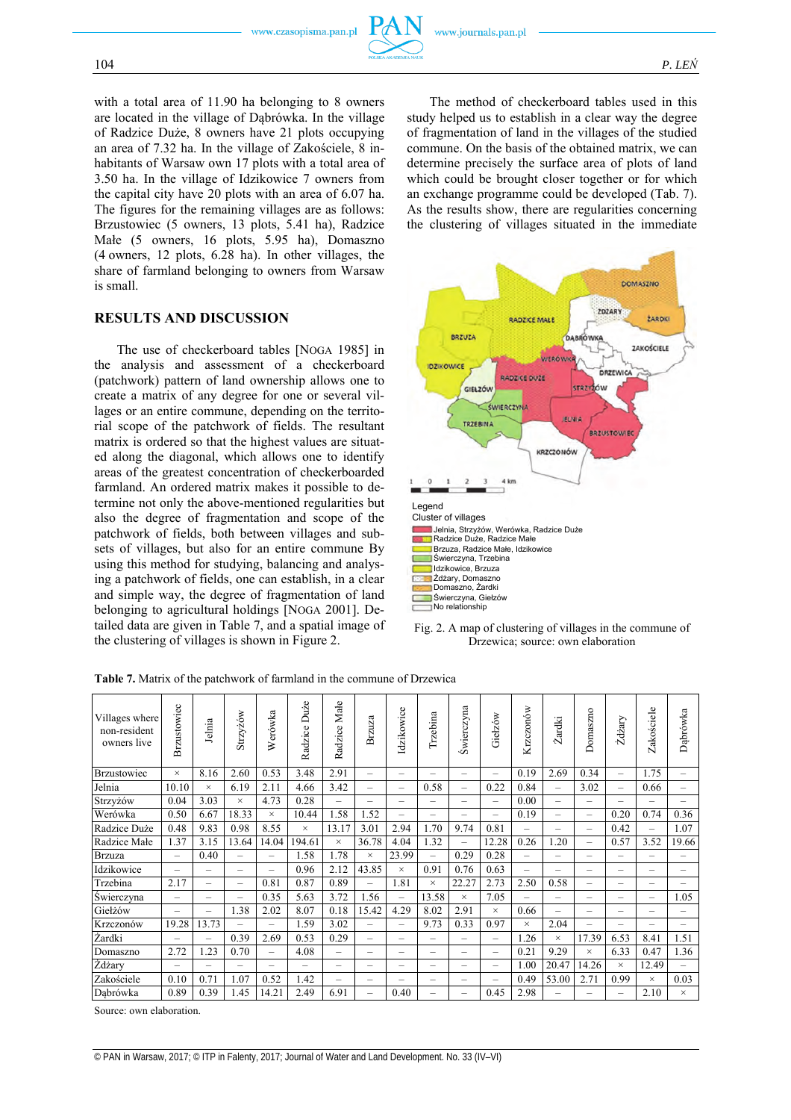

with a total area of 11.90 ha belonging to 8 owners are located in the village of Dąbrówka. In the village of Radzice Duże, 8 owners have 21 plots occupying an area of 7.32 ha. In the village of Zakościele, 8 inhabitants of Warsaw own 17 plots with a total area of 3.50 ha. In the village of Idzikowice 7 owners from the capital city have 20 plots with an area of 6.07 ha. The figures for the remaining villages are as follows: Brzustowiec (5 owners, 13 plots, 5.41 ha), Radzice Małe (5 owners, 16 plots, 5.95 ha), Domaszno (4 owners, 12 plots, 6.28 ha). In other villages, the share of farmland belonging to owners from Warsaw is small.

# **RESULTS AND DISCUSSION**

The use of checkerboard tables [NOGA 1985] in the analysis and assessment of a checkerboard (patchwork) pattern of land ownership allows one to create a matrix of any degree for one or several villages or an entire commune, depending on the territorial scope of the patchwork of fields. The resultant matrix is ordered so that the highest values are situated along the diagonal, which allows one to identify areas of the greatest concentration of checkerboarded farmland. An ordered matrix makes it possible to determine not only the above-mentioned regularities but also the degree of fragmentation and scope of the patchwork of fields, both between villages and subsets of villages, but also for an entire commune By using this method for studying, balancing and analysing a patchwork of fields, one can establish, in a clear and simple way, the degree of fragmentation of land belonging to agricultural holdings [NOGA 2001]. Detailed data are given in Table 7, and a spatial image of the clustering of villages is shown in Figure 2.

The method of checkerboard tables used in this study helped us to establish in a clear way the degree of fragmentation of land in the villages of the studied commune. On the basis of the obtained matrix, we can determine precisely the surface area of plots of land which could be brought closer together or for which an exchange programme could be developed (Tab. 7). As the results show, there are regularities concerning the clustering of villages situated in the immediate





| Villages where<br>non-resident<br>owners live | Brzustowiec              | Jelnia                   | Strzyżów                 | Werówka                  | Duże<br>Radzice          | Małe<br>Radzice          | Brzuza                   | Idzikowice               | Trzebina                 | <b>Świerczyna</b>        | Giełzów                  | Krzczonów                | Żardki                   | Domaszno                 | Żdżary                   | Zakościele               | Dąbrówka |
|-----------------------------------------------|--------------------------|--------------------------|--------------------------|--------------------------|--------------------------|--------------------------|--------------------------|--------------------------|--------------------------|--------------------------|--------------------------|--------------------------|--------------------------|--------------------------|--------------------------|--------------------------|----------|
| <b>Brzustowiec</b>                            | $\times$                 | 8.16                     | 2.60                     | 0.53                     | 3.48                     | 2.91                     | $\overline{\phantom{0}}$ |                          | $\overline{\phantom{0}}$ |                          |                          | 0.19                     | 2.69                     | 0.34                     | $\overline{\phantom{0}}$ | 1.75                     |          |
| Jelnia                                        | 10.10                    | $\times$                 | 6.19                     | 2.11                     | 4.66                     | 3.42                     | $\overline{\phantom{0}}$ | $\overline{\phantom{0}}$ | 0.58                     | $\overline{\phantom{0}}$ | 0.22                     | 0.84                     | $\overline{\phantom{0}}$ | 3.02                     | $\overline{\phantom{0}}$ | 0.66                     |          |
| Strzyżów                                      | 0.04                     | 3.03                     | $\times$                 | 4.73                     | 0.28                     | $\overline{\phantom{0}}$ |                          |                          | $\overline{\phantom{0}}$ | $\overline{\phantom{0}}$ | $-$                      | 0.00                     | $\overline{\phantom{0}}$ | $\overline{\phantom{0}}$ |                          |                          |          |
| Werówka                                       | 0.50                     | 6.67                     | 18.33                    | $\times$                 | 10.44                    | 1.58                     | 1.52                     | $\overline{\phantom{0}}$ |                          | $\overline{\phantom{0}}$ | $-$                      | 0.19                     | $\overline{\phantom{0}}$ | $\overline{\phantom{0}}$ | 0.20                     | 0.74                     | 0.36     |
| Radzice Duże                                  | 0.48                     | 9.83                     | 0.98                     | 8.55                     | $\times$                 | 13.17                    | 3.01                     | 2.94                     | 1.70                     | 9.74                     | 0.81                     | -                        | $\overline{\phantom{0}}$ | $\overline{\phantom{0}}$ | 0.42                     | $\overline{\phantom{0}}$ | 1.07     |
| Radzice Małe                                  | 1.37                     | 3.15                     | 13.64                    | 14.04                    | 194.61                   | $\times$                 | 36.78                    | 4.04                     | 1.32                     | $\overline{\phantom{0}}$ | 12.28                    | 0.26                     | 1.20                     | $\overline{\phantom{0}}$ | 0.57                     | 3.52                     | 19.66    |
| <b>Brzuza</b>                                 | $\overline{\phantom{0}}$ | 0.40                     | $\overline{\phantom{0}}$ | $\overline{\phantom{0}}$ | 1.58                     | 1.78                     | $\times$                 | 23.99                    | $\overline{\phantom{0}}$ | 0.29                     | 0.28                     | $\overline{\phantom{0}}$ | $\overline{\phantom{0}}$ | $\overline{\phantom{0}}$ | -                        |                          |          |
| Idzikowice                                    | $\overline{\phantom{0}}$ | $\overline{\phantom{0}}$ |                          | $\overline{\phantom{0}}$ | 0.96                     | 2.12                     | 43.85                    | $\times$                 | 0.91                     | 0.76                     | 0.63                     | $\overline{\phantom{0}}$ | -                        | $\overline{\phantom{0}}$ | -                        |                          |          |
| Trzebina                                      | 2.17                     | $\overline{\phantom{0}}$ |                          | 0.81                     | 0.87                     | 0.89                     | $\overline{\phantom{0}}$ | 1.81                     | $\times$                 | 22.27                    | 2.73                     | 2.50                     | 0.58                     | $\overline{\phantom{0}}$ | -                        | -                        |          |
| Świerczyna                                    | $\overline{\phantom{0}}$ | $\overline{\phantom{0}}$ | $\overline{\phantom{a}}$ | 0.35                     | 5.63                     | 3.72                     | 1.56                     | $\overline{\phantom{0}}$ | 13.58                    | $\times$                 | 7.05                     | $\overline{\phantom{0}}$ | $\overline{\phantom{0}}$ | $\overline{\phantom{0}}$ | $\overline{\phantom{a}}$ | $\overline{\phantom{0}}$ | 1.05     |
| Giełżów                                       | $\overline{\phantom{0}}$ | $\overline{\phantom{0}}$ | 1.38                     | 2.02                     | 8.07                     | 0.18                     | 15.42                    | 4.29                     | 8.02                     | 2.91                     | $\times$                 | 0.66                     | -                        | $\overline{\phantom{0}}$ |                          |                          |          |
| Krzczonów                                     | 19.28                    | 13.73                    | $\overline{\phantom{0}}$ | $\overline{\phantom{0}}$ | 1.59                     | 3.02                     | $\overline{\phantom{0}}$ | $\overline{\phantom{0}}$ | 9.73                     | 0.33                     | 0.97                     | $\times$                 | 2.04                     | $\overline{\phantom{0}}$ |                          | -                        |          |
| Żardki                                        | $\overline{\phantom{0}}$ | $\overline{\phantom{0}}$ | 0.39                     | 2.69                     | 0.53                     | 0.29                     | $\overline{\phantom{0}}$ | $\overline{\phantom{0}}$ |                          |                          |                          | 1.26                     | $\times$                 | 17.39                    | 6.53                     | 8.41                     | 1.51     |
| Domaszno                                      | 2.72                     | 1.23                     | 0.70                     | $\overline{\phantom{0}}$ | 4.08                     | $\overline{\phantom{0}}$ |                          | $\overline{\phantom{0}}$ | $\overline{\phantom{0}}$ |                          | $\qquad \qquad -$        | 0.21                     | 9.29                     | $\times$                 | 6.33                     | 0.47                     | 1.36     |
| Żdżary                                        | $\overline{\phantom{0}}$ | $\overline{\phantom{0}}$ | $\overline{\phantom{0}}$ | $\overline{\phantom{0}}$ | $\overline{\phantom{0}}$ | $\overline{\phantom{0}}$ |                          |                          | $\overline{\phantom{0}}$ | $\overline{\phantom{0}}$ |                          | 1.00                     | 20.47                    | 14.26                    | $\times$                 | 12.49                    |          |
| Zakościele                                    | 0.10                     | 0.71                     | 1.07                     | 0.52                     | 1.42                     | $\overline{\phantom{0}}$ | $\overline{\phantom{0}}$ | $\overline{\phantom{0}}$ | -                        | $\overline{\phantom{0}}$ | $\overline{\phantom{0}}$ | 0.49                     | 53.00                    | 2.71                     | 0.99                     | $\times$                 | 0.03     |
| Dąbrówka                                      | 0.89                     | 0.39                     | 1.45                     | 14.21                    | 2.49                     | 6.91                     | $\overline{\phantom{0}}$ | 0.40                     | $\overline{\phantom{0}}$ |                          | 0.45                     | 2.98                     |                          |                          |                          | 2.10                     | $\times$ |

**Table 7.** Matrix of the patchwork of farmland in the commune of Drzewica

Source: own elaboration.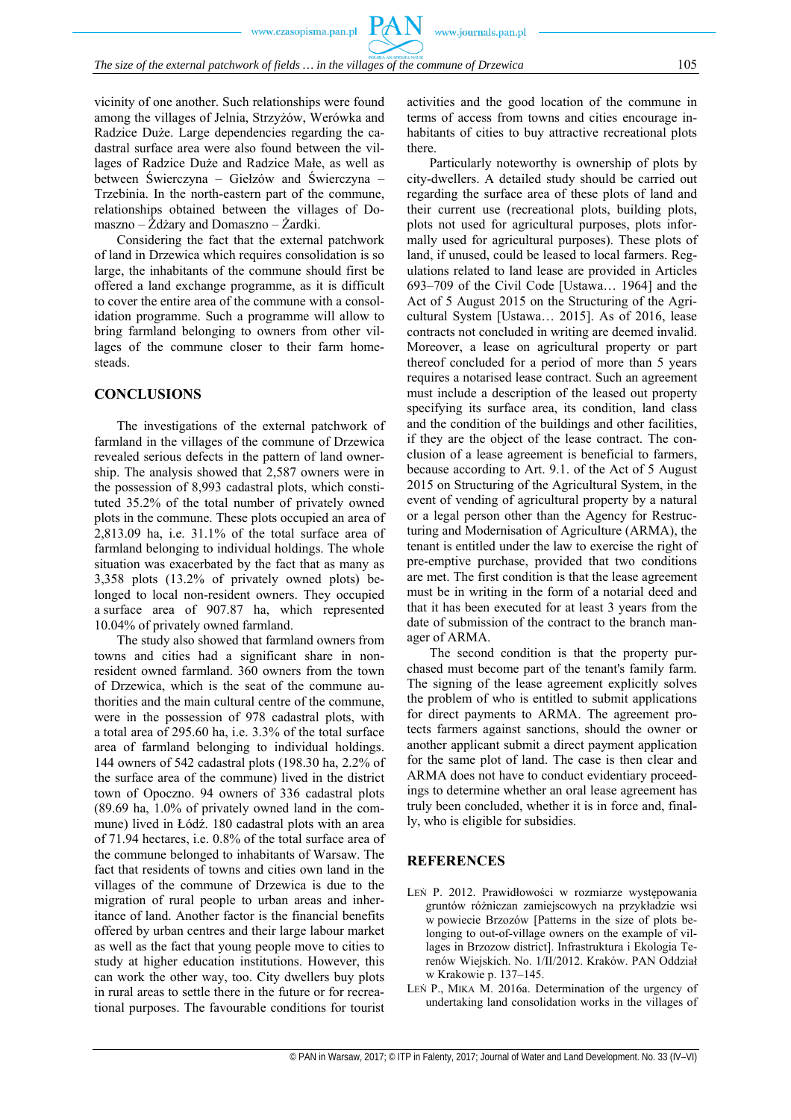vicinity of one another. Such relationships were found among the villages of Jelnia, Strzyżów, Werówka and Radzice Duże. Large dependencies regarding the cadastral surface area were also found between the villages of Radzice Duże and Radzice Małe, as well as between Świerczyna – Giełzów and Świerczyna – Trzebinia. In the north-eastern part of the commune, relationships obtained between the villages of Domaszno – Żdżary and Domaszno – Żardki.

Considering the fact that the external patchwork of land in Drzewica which requires consolidation is so large, the inhabitants of the commune should first be offered a land exchange programme, as it is difficult to cover the entire area of the commune with a consolidation programme. Such a programme will allow to bring farmland belonging to owners from other villages of the commune closer to their farm homesteads.

# **CONCLUSIONS**

The investigations of the external patchwork of farmland in the villages of the commune of Drzewica revealed serious defects in the pattern of land ownership. The analysis showed that 2,587 owners were in the possession of 8,993 cadastral plots, which constituted 35.2% of the total number of privately owned plots in the commune. These plots occupied an area of 2,813.09 ha, i.e. 31.1% of the total surface area of farmland belonging to individual holdings. The whole situation was exacerbated by the fact that as many as 3,358 plots (13.2% of privately owned plots) belonged to local non-resident owners. They occupied a surface area of 907.87 ha, which represented 10.04% of privately owned farmland.

The study also showed that farmland owners from towns and cities had a significant share in nonresident owned farmland. 360 owners from the town of Drzewica, which is the seat of the commune authorities and the main cultural centre of the commune, were in the possession of 978 cadastral plots, with a total area of 295.60 ha, i.e. 3.3% of the total surface area of farmland belonging to individual holdings. 144 owners of 542 cadastral plots (198.30 ha, 2.2% of the surface area of the commune) lived in the district town of Opoczno. 94 owners of 336 cadastral plots (89.69 ha, 1.0% of privately owned land in the commune) lived in Łódź. 180 cadastral plots with an area of 71.94 hectares, i.e. 0.8% of the total surface area of the commune belonged to inhabitants of Warsaw. The fact that residents of towns and cities own land in the villages of the commune of Drzewica is due to the migration of rural people to urban areas and inheritance of land. Another factor is the financial benefits offered by urban centres and their large labour market as well as the fact that young people move to cities to study at higher education institutions. However, this can work the other way, too. City dwellers buy plots in rural areas to settle there in the future or for recreational purposes. The favourable conditions for tourist

activities and the good location of the commune in terms of access from towns and cities encourage inhabitants of cities to buy attractive recreational plots there.

Particularly noteworthy is ownership of plots by city-dwellers. A detailed study should be carried out regarding the surface area of these plots of land and their current use (recreational plots, building plots, plots not used for agricultural purposes, plots informally used for agricultural purposes). These plots of land, if unused, could be leased to local farmers. Regulations related to land lease are provided in Articles 693–709 of the Civil Code [Ustawa… 1964] and the Act of 5 August 2015 on the Structuring of the Agricultural System [Ustawa… 2015]. As of 2016, lease contracts not concluded in writing are deemed invalid. Moreover, a lease on agricultural property or part thereof concluded for a period of more than 5 years requires a notarised lease contract. Such an agreement must include a description of the leased out property specifying its surface area, its condition, land class and the condition of the buildings and other facilities, if they are the object of the lease contract. The conclusion of a lease agreement is beneficial to farmers, because according to Art. 9.1. of the Act of 5 August 2015 on Structuring of the Agricultural System, in the event of vending of agricultural property by a natural or a legal person other than the Agency for Restructuring and Modernisation of Agriculture (ARMA), the tenant is entitled under the law to exercise the right of pre-emptive purchase, provided that two conditions are met. The first condition is that the lease agreement must be in writing in the form of a notarial deed and that it has been executed for at least 3 years from the date of submission of the contract to the branch manager of ARMA.

The second condition is that the property purchased must become part of the tenant's family farm. The signing of the lease agreement explicitly solves the problem of who is entitled to submit applications for direct payments to ARMA. The agreement protects farmers against sanctions, should the owner or another applicant submit a direct payment application for the same plot of land. The case is then clear and ARMA does not have to conduct evidentiary proceedings to determine whether an oral lease agreement has truly been concluded, whether it is in force and, finally, who is eligible for subsidies.

## **REFERENCES**

- LEŃ P. 2012. Prawidłowości w rozmiarze występowania gruntów różniczan zamiejscowych na przykładzie wsi w powiecie Brzozów [Patterns in the size of plots belonging to out-of-village owners on the example of villages in Brzozow district]. Infrastruktura i Ekologia Terenów Wiejskich. No. 1/II/2012. Kraków. PAN Oddział w Krakowie p. 137–145.
- LEŃ P., MIKA M. 2016a. Determination of the urgency of undertaking land consolidation works in the villages of